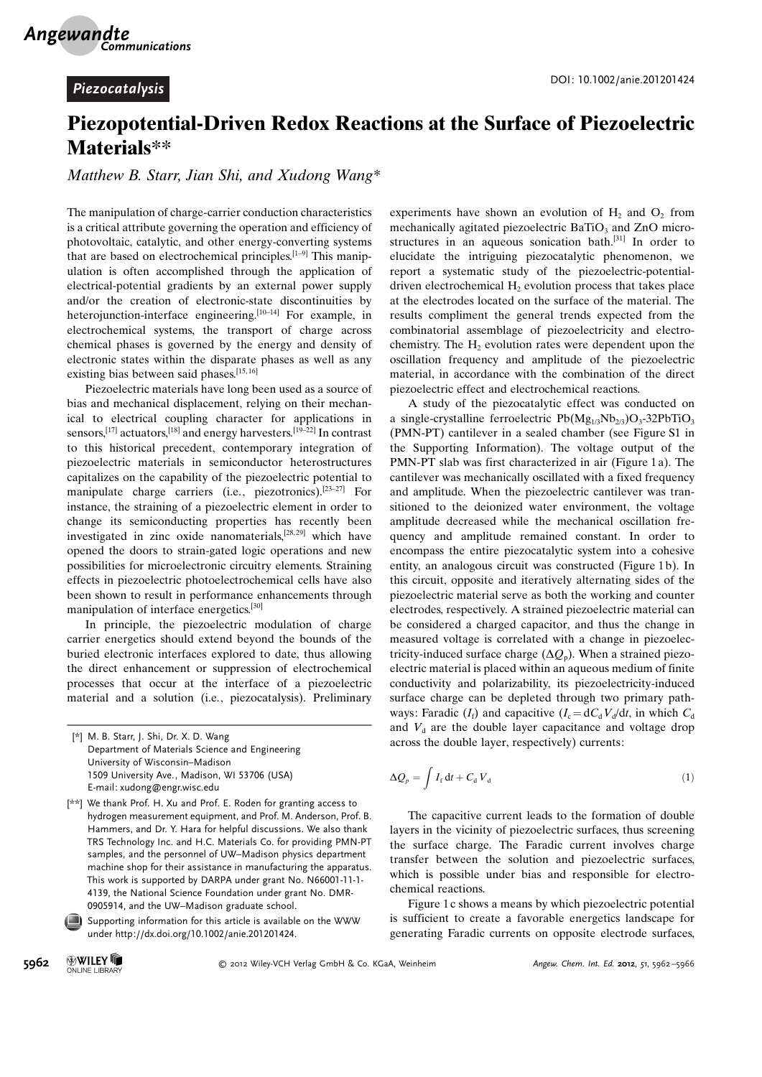## Piezopotential-Driven Redox Reactions at the Surface of Piezoelectric Materials\*\*

Matthew B. Starr, Jian Shi, and Xudong Wang\*

The manipulation of charge-carrier conduction characteristics is a critical attribute governing the operation and efficiency of photovoltaic, catalytic, and other energy-converting systems that are based on electrochemical principles. $[1-9]$  This manipulation is often accomplished through the application of electrical-potential gradients by an external power supply and/or the creation of electronic-state discontinuities by heterojunction-interface engineering.<sup>[10–14]</sup> For example, in electrochemical systems, the transport of charge across chemical phases is governed by the energy and density of electronic states within the disparate phases as well as any existing bias between said phases.<sup>[15,16]</sup>

Piezoelectric materials have long been used as a source of bias and mechanical displacement, relying on their mechanical to electrical coupling character for applications in sensors,<sup>[17]</sup> actuators,<sup>[18]</sup> and energy harvesters.<sup>[19–22]</sup> In contrast to this historical precedent, contemporary integration of piezoelectric materials in semiconductor heterostructures capitalizes on the capability of the piezoelectric potential to manipulate charge carriers (i.e., piezotronics).<sup>[23–27]</sup> For instance, the straining of a piezoelectric element in order to change its semiconducting properties has recently been investigated in zinc oxide nanomaterials,<sup>[28, 29]</sup> which have opened the doors to strain-gated logic operations and new possibilities for microelectronic circuitry elements. Straining effects in piezoelectric photoelectrochemical cells have also been shown to result in performance enhancements through manipulation of interface energetics.<sup>[30]</sup>

In principle, the piezoelectric modulation of charge carrier energetics should extend beyond the bounds of the buried electronic interfaces explored to date, thus allowing the direct enhancement or suppression of electrochemical processes that occur at the interface of a piezoelectric material and a solution (i.e., piezocatalysis). Preliminary

[\*] M. B. Starr, J. Shi, Dr. X. D. Wang Department of Materials Science and Engineering University of Wisconsin–Madison 1509 University Ave., Madison, WI 53706 (USA) E-mail: xudong@engr.wisc.edu

experiments have shown an evolution of  $H_2$  and  $O_2$  from mechanically agitated piezoelectric BaTiO<sub>3</sub> and ZnO microstructures in an aqueous sonication bath.[31] In order to elucidate the intriguing piezocatalytic phenomenon, we report a systematic study of the piezoelectric-potentialdriven electrochemical  $H_2$  evolution process that takes place at the electrodes located on the surface of the material. The results compliment the general trends expected from the combinatorial assemblage of piezoelectricity and electrochemistry. The  $H<sub>2</sub>$  evolution rates were dependent upon the oscillation frequency and amplitude of the piezoelectric material, in accordance with the combination of the direct piezoelectric effect and electrochemical reactions.

A study of the piezocatalytic effect was conducted on a single-crystalline ferroelectric  $Pb(Mg_{1/3}Nb_{2/3})O_3-32PbTiO_3$ (PMN-PT) cantilever in a sealed chamber (see Figure S1 in the Supporting Information). The voltage output of the PMN-PT slab was first characterized in air (Figure 1 a). The cantilever was mechanically oscillated with a fixed frequency and amplitude. When the piezoelectric cantilever was transitioned to the deionized water environment, the voltage amplitude decreased while the mechanical oscillation frequency and amplitude remained constant. In order to encompass the entire piezocatalytic system into a cohesive entity, an analogous circuit was constructed (Figure 1 b). In this circuit, opposite and iteratively alternating sides of the piezoelectric material serve as both the working and counter electrodes, respectively. A strained piezoelectric material can be considered a charged capacitor, and thus the change in measured voltage is correlated with a change in piezoelectricity-induced surface charge  $(\Delta Q_p)$ . When a strained piezoelectric material is placed within an aqueous medium of finite conductivity and polarizability, its piezoelectricity-induced surface charge can be depleted through two primary pathways: Faradic  $(I_f)$  and capacitive  $(I_c = dC_dV_d/dt$ , in which  $C_d$ and  $V<sub>d</sub>$  are the double layer capacitance and voltage drop across the double layer, respectively) currents:

$$
\Delta Q_p = \int I_f \, \mathrm{d}t + C_\mathrm{d} \, V_\mathrm{d} \tag{1}
$$

The capacitive current leads to the formation of double layers in the vicinity of piezoelectric surfaces, thus screening the surface charge. The Faradic current involves charge transfer between the solution and piezoelectric surfaces, which is possible under bias and responsible for electrochemical reactions.

Figure 1 c shows a means by which piezoelectric potential is sufficient to create a favorable energetics landscape for generating Faradic currents on opposite electrode surfaces,

<sup>[\*\*]</sup> We thank Prof. H. Xu and Prof. E. Roden for granting access to hydrogen measurement equipment, and Prof. M. Anderson, Prof. B. Hammers, and Dr. Y. Hara for helpful discussions. We also thank TRS Technology Inc. and H.C. Materials Co. for providing PMN-PT samples, and the personnel of UW–Madison physics department machine shop for their assistance in manufacturing the apparatus. This work is supported by DARPA under grant No. N66001-11-1- 4139, the National Science Foundation under grant No. DMR-0905914, and the UW–Madison graduate school.

Supporting information for this article is available on the WWW under<http://dx.doi.org/10.1002/anie.201201424>.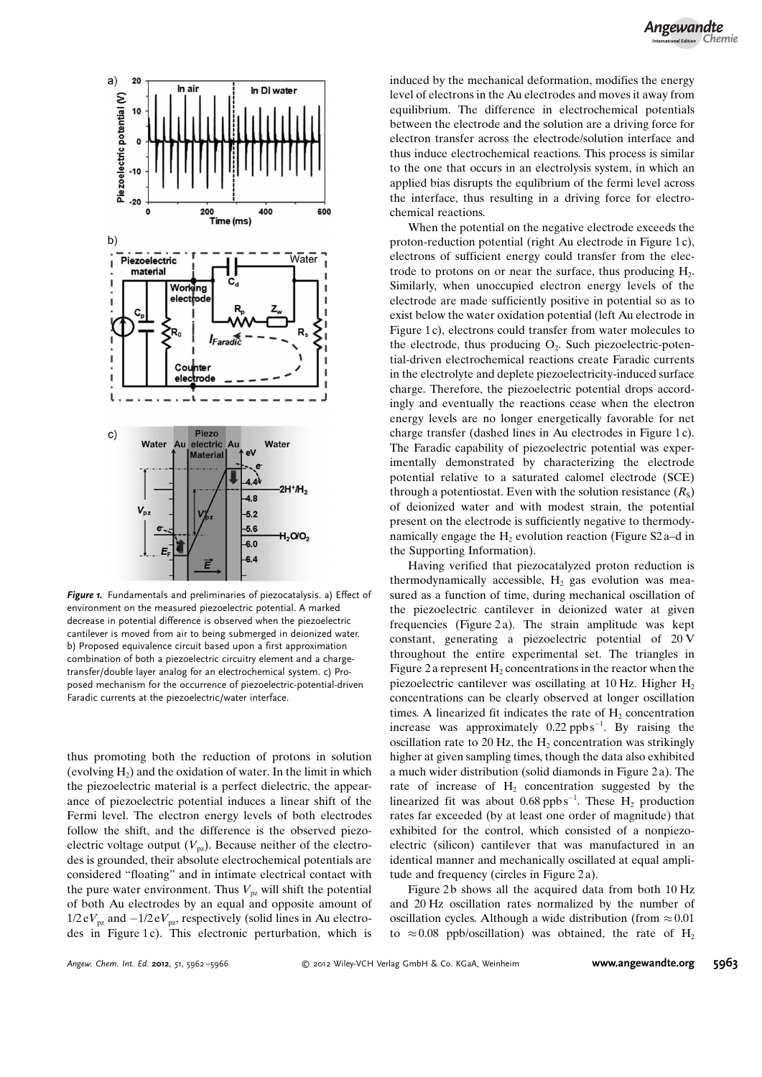

Figure 1. Fundamentals and preliminaries of piezocatalysis. a) Effect of environment on the measured piezoelectric potential. A marked decrease in potential difference is observed when the piezoelectric cantilever is moved from air to being submerged in deionized water. b) Proposed equivalence circuit based upon a first approximation combination of both a piezoelectric circuitry element and a chargetransfer/double layer analog for an electrochemical system. c) Proposed mechanism for the occurrence of piezoelectric-potential-driven Faradic currents at the piezoelectric/water interface.

thus promoting both the reduction of protons in solution (evolving  $H<sub>2</sub>$ ) and the oxidation of water. In the limit in which the piezoelectric material is a perfect dielectric, the appearance of piezoelectric potential induces a linear shift of the Fermi level. The electron energy levels of both electrodes follow the shift, and the difference is the observed piezoelectric voltage output  $(V_{\text{pz}})$ . Because neither of the electrodes is grounded, their absolute electrochemical potentials are considered "floating" and in intimate electrical contact with the pure water environment. Thus  $V_{pz}$  will shift the potential of both Au electrodes by an equal and opposite amount of  $1/2 \text{ e}V_{\text{pz}}$  and  $-1/2 \text{ e}V_{\text{pz}}$ , respectively (solid lines in Au electrodes in Figure 1c). This electronic perturbation, which is induced by the mechanical deformation, modifies the energy level of electrons in the Au electrodes and moves it away from equilibrium. The difference in electrochemical potentials between the electrode and the solution are a driving force for electron transfer across the electrode/solution interface and thus induce electrochemical reactions. This process is similar to the one that occurs in an electrolysis system, in which an applied bias disrupts the equlibrium of the fermi level across the interface, thus resulting in a driving force for electrochemical reactions.

When the potential on the negative electrode exceeds the proton-reduction potential (right Au electrode in Figure 1 c), electrons of sufficient energy could transfer from the electrode to protons on or near the surface, thus producing  $H_2$ . Similarly, when unoccupied electron energy levels of the electrode are made sufficiently positive in potential so as to exist below the water oxidation potential (left Au electrode in Figure 1c), electrons could transfer from water molecules to the electrode, thus producing  $O<sub>2</sub>$ . Such piezoelectric-potential-driven electrochemical reactions create Faradic currents in the electrolyte and deplete piezoelectricity-induced surface charge. Therefore, the piezoelectric potential drops accordingly and eventually the reactions cease when the electron energy levels are no longer energetically favorable for net charge transfer (dashed lines in Au electrodes in Figure 1 c). The Faradic capability of piezoelectric potential was experimentally demonstrated by characterizing the electrode potential relative to a saturated calomel electrode (SCE) through a potentiostat. Even with the solution resistance  $(R_s)$ of deionized water and with modest strain, the potential present on the electrode is sufficiently negative to thermodynamically engage the  $H_2$  evolution reaction (Figure S2 a–d in the Supporting Information).

Having verified that piezocatalyzed proton reduction is thermodynamically accessible,  $H_2$  gas evolution was measured as a function of time, during mechanical oscillation of the piezoelectric cantilever in deionized water at given frequencies (Figure 2a). The strain amplitude was kept constant, generating a piezoelectric potential of 20 V throughout the entire experimental set. The triangles in Figure 2 a represent  $H_2$  concentrations in the reactor when the piezoelectric cantilever was oscillating at 10 Hz. Higher  $H_2$ concentrations can be clearly observed at longer oscillation times. A linearized fit indicates the rate of  $H<sub>2</sub>$  concentration increase was approximately  $0.22$  ppbs<sup>-1</sup>. By raising the oscillation rate to 20 Hz, the  $H<sub>2</sub>$  concentration was strikingly higher at given sampling times, though the data also exhibited a much wider distribution (solid diamonds in Figure 2 a). The rate of increase of  $H<sub>2</sub>$  concentration suggested by the linearized fit was about  $0.68$  ppbs<sup>-1</sup>. These H<sub>2</sub> production rates far exceeded (by at least one order of magnitude) that exhibited for the control, which consisted of a nonpiezoelectric (silicon) cantilever that was manufactured in an identical manner and mechanically oscillated at equal amplitude and frequency (circles in Figure 2 a).

Figure 2b shows all the acquired data from both 10 Hz and 20 Hz oscillation rates normalized by the number of oscillation cycles. Although a wide distribution (from  $\approx 0.01$ ) to  $\approx 0.08$  ppb/oscillation) was obtained, the rate of H<sub>2</sub>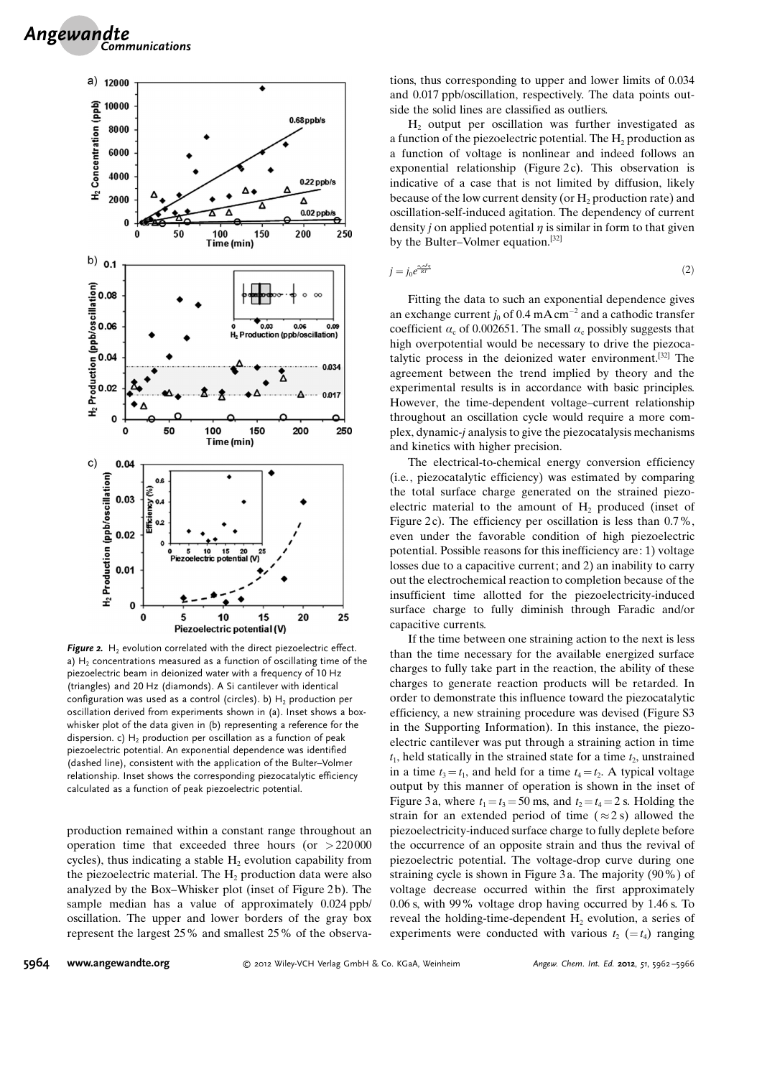

Figure 2.  $H_2$  evolution correlated with the direct piezoelectric effect. a)  $H<sub>2</sub>$  concentrations measured as a function of oscillating time of the piezoelectric beam in deionized water with a frequency of 10 Hz (triangles) and 20 Hz (diamonds). A Si cantilever with identical configuration was used as a control (circles). b)  $H_2$  production per oscillation derived from experiments shown in (a). Inset shows a boxwhisker plot of the data given in (b) representing a reference for the dispersion. c)  $H_2$  production per oscillation as a function of peak piezoelectric potential. An exponential dependence was identified (dashed line), consistent with the application of the Bulter–Volmer relationship. Inset shows the corresponding piezocatalytic efficiency calculated as a function of peak piezoelectric potential.

production remained within a constant range throughout an operation time that exceeded three hours (or  $>220000$ cycles), thus indicating a stable  $H_2$  evolution capability from the piezoelectric material. The  $H<sub>2</sub>$  production data were also analyzed by the Box–Whisker plot (inset of Figure 2b). The sample median has a value of approximately 0.024 ppb/ oscillation. The upper and lower borders of the gray box represent the largest 25% and smallest 25% of the observations, thus corresponding to upper and lower limits of 0.034 and 0.017 ppb/oscillation, respectively. The data points outside the solid lines are classified as outliers.

 $H<sub>2</sub>$  output per oscillation was further investigated as a function of the piezoelectric potential. The  $H_2$  production as a function of voltage is nonlinear and indeed follows an exponential relationship (Figure 2c). This observation is indicative of a case that is not limited by diffusion, likely because of the low current density (or  $H_2$  production rate) and oscillation-self-induced agitation. The dependency of current density *j* on applied potential  $\eta$  is similar in form to that given by the Bulter–Volmer equation.[32]

$$
j = j_0 e^{\frac{a_c n F \eta}{RT}} \tag{2}
$$

Fitting the data to such an exponential dependence gives an exchange current  $j_0$  of 0.4 mA cm<sup>-2</sup> and a cathodic transfer coefficient  $\alpha_c$  of 0.002651. The small  $\alpha_c$  possibly suggests that high overpotential would be necessary to drive the piezocatalytic process in the deionized water environment.[32] The agreement between the trend implied by theory and the experimental results is in accordance with basic principles. However, the time-dependent voltage–current relationship throughout an oscillation cycle would require a more complex, dynamic-j analysis to give the piezocatalysis mechanisms and kinetics with higher precision.

The electrical-to-chemical energy conversion efficiency (i.e., piezocatalytic efficiency) was estimated by comparing the total surface charge generated on the strained piezoelectric material to the amount of  $H_2$  produced (inset of Figure 2c). The efficiency per oscillation is less than  $0.7\%$ , even under the favorable condition of high piezoelectric potential. Possible reasons for this inefficiency are: 1) voltage losses due to a capacitive current; and 2) an inability to carry out the electrochemical reaction to completion because of the insufficient time allotted for the piezoelectricity-induced surface charge to fully diminish through Faradic and/or capacitive currents.

If the time between one straining action to the next is less than the time necessary for the available energized surface charges to fully take part in the reaction, the ability of these charges to generate reaction products will be retarded. In order to demonstrate this influence toward the piezocatalytic efficiency, a new straining procedure was devised (Figure S3 in the Supporting Information). In this instance, the piezoelectric cantilever was put through a straining action in time  $t_1$ , held statically in the strained state for a time  $t_2$ , unstrained in a time  $t_3 = t_1$ , and held for a time  $t_4 = t_2$ . A typical voltage output by this manner of operation is shown in the inset of Figure 3a, where  $t_1 = t_3 = 50$  ms, and  $t_2 = t_4 = 2$  s. Holding the strain for an extended period of time ( $\approx$ 2 s) allowed the piezoelectricity-induced surface charge to fully deplete before the occurrence of an opposite strain and thus the revival of piezoelectric potential. The voltage-drop curve during one straining cycle is shown in Figure 3 a. The majority (90%) of voltage decrease occurred within the first approximately 0.06 s, with 99% voltage drop having occurred by 1.46 s. To reveal the holding-time-dependent H<sub>2</sub> evolution, a series of experiments were conducted with various  $t_2 (= t_4)$  ranging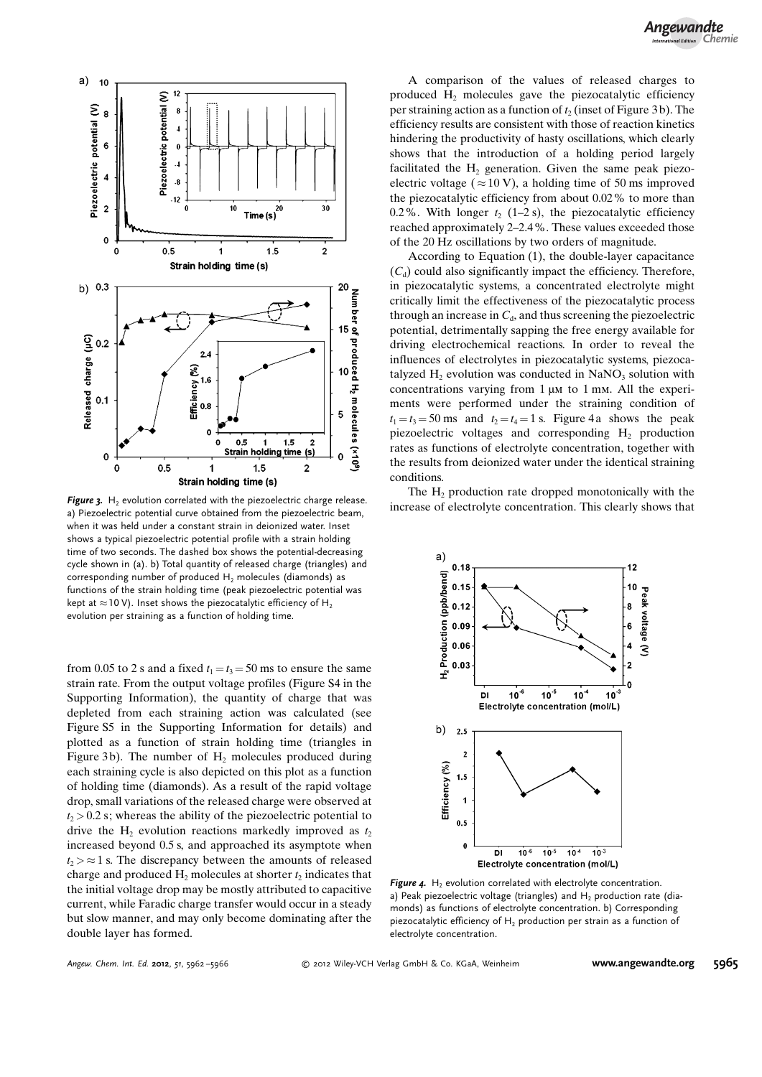

a) Piezoelectric potential curve obtained from the piezoelectric beam, when it was held under a constant strain in deionized water. Inset shows a typical piezoelectric potential profile with a strain holding time of two seconds. The dashed box shows the potential-decreasing cycle shown in (a). b) Total quantity of released charge (triangles) and corresponding number of produced  $H_2$  molecules (diamonds) as functions of the strain holding time (peak piezoelectric potential was kept at  $\approx$  10 V). Inset shows the piezocatalytic efficiency of H<sub>2</sub> evolution per straining as a function of holding time.

from 0.05 to 2 s and a fixed  $t_1 = t_3 = 50$  ms to ensure the same strain rate. From the output voltage profiles (Figure S4 in the Supporting Information), the quantity of charge that was depleted from each straining action was calculated (see Figure S5 in the Supporting Information for details) and plotted as a function of strain holding time (triangles in Figure 3b). The number of  $H_2$  molecules produced during each straining cycle is also depicted on this plot as a function of holding time (diamonds). As a result of the rapid voltage drop, small variations of the released charge were observed at  $t_2$  > 0.2 s; whereas the ability of the piezoelectric potential to drive the  $H_2$  evolution reactions markedly improved as  $t_2$ increased beyond 0.5 s, and approached its asymptote when  $t_2 \geq 1$  s. The discrepancy between the amounts of released charge and produced H<sub>2</sub> molecules at shorter  $t_2$  indicates that the initial voltage drop may be mostly attributed to capacitive current, while Faradic charge transfer would occur in a steady but slow manner, and may only become dominating after the double layer has formed.

A comparison of the values of released charges to produced H<sub>2</sub> molecules gave the piezocatalytic efficiency per straining action as a function of  $t_2$  (inset of Figure 3 b). The efficiency results are consistent with those of reaction kinetics hindering the productivity of hasty oscillations, which clearly shows that the introduction of a holding period largely facilitated the  $H<sub>2</sub>$  generation. Given the same peak piezoelectric voltage ( $\approx 10$  V), a holding time of 50 ms improved the piezocatalytic efficiency from about 0.02% to more than 0.2%. With longer  $t_2$  (1–2 s), the piezocatalytic efficiency reached approximately 2–2.4%. These values exceeded those of the 20 Hz oscillations by two orders of magnitude.

According to Equation (1), the double-layer capacitance  $(C_d)$  could also significantly impact the efficiency. Therefore, in piezocatalytic systems, a concentrated electrolyte might critically limit the effectiveness of the piezocatalytic process through an increase in  $C_d$ , and thus screening the piezoelectric potential, detrimentally sapping the free energy available for driving electrochemical reactions. In order to reveal the influences of electrolytes in piezocatalytic systems, piezocatalyzed  $H_2$  evolution was conducted in NaNO<sub>3</sub> solution with concentrations varying from  $1 \mu M$  to  $1 \mu M$ . All the experiments were performed under the straining condition of  $t_1 = t_3 = 50$  ms and  $t_2 = t_4 = 1$  s. Figure 4 a shows the peak piezoelectric voltages and corresponding  $H_2$  production rates as functions of electrolyte concentration, together with the results from deionized water under the identical straining conditions.

The  $H<sub>2</sub>$  production rate dropped monotonically with the Figure 3. H<sub>2</sub> evolution correlated with the piezoelectric charge release.<br>
Figure 3. His clearly shows that Figure 3. Have a shortly shows that Figure 3. Have a shortly shows that the piezoelectric charge release.



Figure 4.  $H_2$  evolution correlated with electrolyte concentration. a) Peak piezoelectric voltage (triangles) and  $H_2$  production rate (diamonds) as functions of electrolyte concentration. b) Corresponding piezocatalytic efficiency of  $H<sub>2</sub>$  production per strain as a function of electrolyte concentration.

Angew. Chem. Int. Ed. 2012, 51, 5962-5966